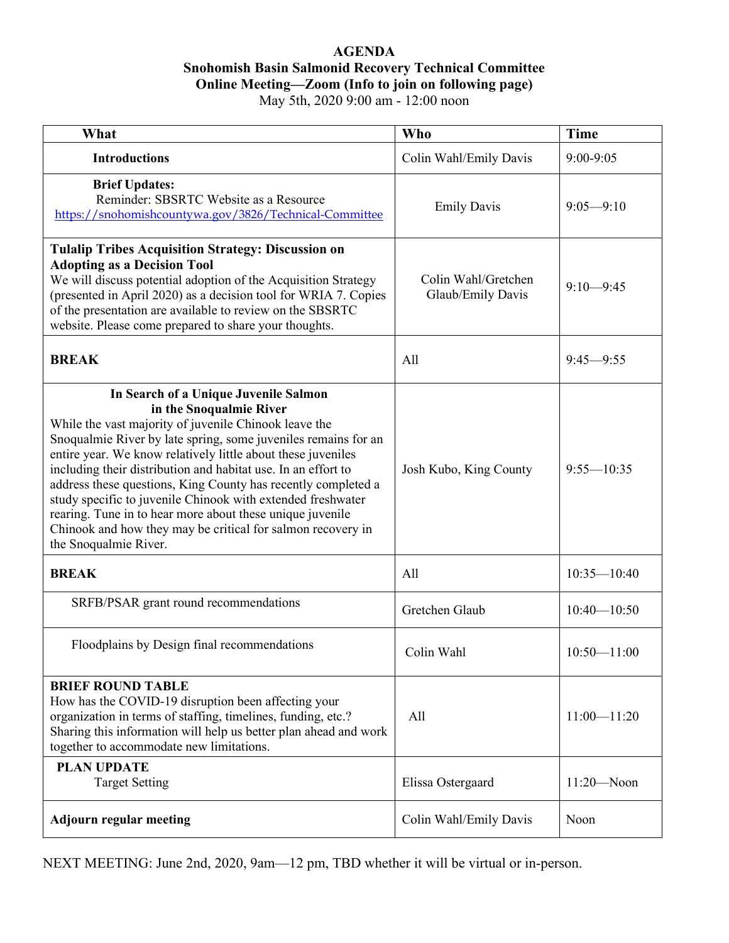## **AGENDA Snohomish Basin Salmonid Recovery Technical Committee Online Meeting—Zoom (Info to join on following page)** May 5th, 2020 9:00 am - 12:00 noon

| What                                                                                                                                                                                                                                                                                                                                                                                                                                                                                                                                                                                                              | <b>Who</b>                               | <b>Time</b>     |
|-------------------------------------------------------------------------------------------------------------------------------------------------------------------------------------------------------------------------------------------------------------------------------------------------------------------------------------------------------------------------------------------------------------------------------------------------------------------------------------------------------------------------------------------------------------------------------------------------------------------|------------------------------------------|-----------------|
| <b>Introductions</b>                                                                                                                                                                                                                                                                                                                                                                                                                                                                                                                                                                                              | Colin Wahl/Emily Davis                   | $9:00-9:05$     |
| <b>Brief Updates:</b><br>Reminder: SBSRTC Website as a Resource<br>https://snohomishcountywa.gov/3826/Technical-Committee                                                                                                                                                                                                                                                                                                                                                                                                                                                                                         | <b>Emily Davis</b>                       | $9:05 - 9:10$   |
| <b>Tulalip Tribes Acquisition Strategy: Discussion on</b><br><b>Adopting as a Decision Tool</b><br>We will discuss potential adoption of the Acquisition Strategy<br>(presented in April 2020) as a decision tool for WRIA 7. Copies<br>of the presentation are available to review on the SBSRTC<br>website. Please come prepared to share your thoughts.                                                                                                                                                                                                                                                        | Colin Wahl/Gretchen<br>Glaub/Emily Davis | $9:10 - 9:45$   |
| <b>BREAK</b>                                                                                                                                                                                                                                                                                                                                                                                                                                                                                                                                                                                                      | All                                      | $9:45 - 9:55$   |
| In Search of a Unique Juvenile Salmon<br>in the Snoqualmie River<br>While the vast majority of juvenile Chinook leave the<br>Snoqualmie River by late spring, some juveniles remains for an<br>entire year. We know relatively little about these juveniles<br>including their distribution and habitat use. In an effort to<br>address these questions, King County has recently completed a<br>study specific to juvenile Chinook with extended freshwater<br>rearing. Tune in to hear more about these unique juvenile<br>Chinook and how they may be critical for salmon recovery in<br>the Snoqualmie River. | Josh Kubo, King County                   | $9:55 - 10:35$  |
| <b>BREAK</b>                                                                                                                                                                                                                                                                                                                                                                                                                                                                                                                                                                                                      | All                                      | $10:35 - 10:40$ |
| SRFB/PSAR grant round recommendations                                                                                                                                                                                                                                                                                                                                                                                                                                                                                                                                                                             | Gretchen Glaub                           | $10:40 - 10:50$ |
| Floodplains by Design final recommendations                                                                                                                                                                                                                                                                                                                                                                                                                                                                                                                                                                       | Colin Wahl                               | $10:50 - 11:00$ |
| <b>BRIEF ROUND TABLE</b><br>How has the COVID-19 disruption been affecting your<br>organization in terms of staffing, timelines, funding, etc.?<br>Sharing this information will help us better plan ahead and work<br>together to accommodate new limitations.                                                                                                                                                                                                                                                                                                                                                   | All                                      | $11:00 - 11:20$ |
| <b>PLAN UPDATE</b><br><b>Target Setting</b>                                                                                                                                                                                                                                                                                                                                                                                                                                                                                                                                                                       | Elissa Ostergaard                        | $11:20 - N$ oon |
| <b>Adjourn regular meeting</b>                                                                                                                                                                                                                                                                                                                                                                                                                                                                                                                                                                                    | Colin Wahl/Emily Davis                   | Noon            |

NEXT MEETING: June 2nd, 2020, 9am—12 pm, TBD whether it will be virtual or in-person.